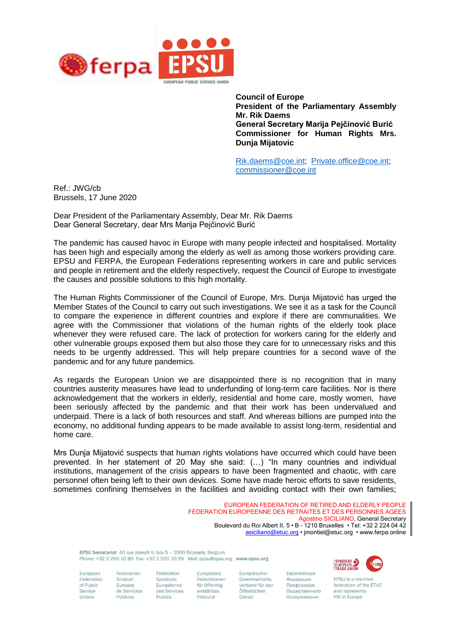

**Council of Europe President of the Parliamentary Assembly Mr. Rik Daems General Secretary Marija Pejčinović Burić Commissioner for Human Rights Mrs. Dunja Mijatovic**

[Rik.daems@coe.int;](mailto:Rik.daems@coe.int) [Private.office@coe.int;](mailto:Private.office@coe.int) [commissioner@coe.int](mailto:commissioner@coe.int)

Ref.: JWG/cb Brussels, 17 June 2020

Dear President of the Parliamentary Assembly, Dear Mr. Rik Daems Dear General Secretary, dear Mrs Marija Pejčinović Burić

The pandemic has caused havoc in Europe with many people infected and hospitalised. Mortality has been high and especially among the elderly as well as among those workers providing care. EPSU and FERPA, the European Federations representing workers in care and public services and people in retirement and the elderly respectively, request the Council of Europe to investigate the causes and possible solutions to this high mortality.

The Human Rights Commissioner of the Council of Europe, Mrs. Dunja Mijatović has urged the Member States of the Council to carry out such investigations. We see it as a task for the Council to compare the experience in different countries and explore if there are communalities. We agree with the Commissioner that violations of the human rights of the elderly took place whenever they were refused care. The lack of protection for workers caring for the elderly and other vulnerable groups exposed them but also those they care for to unnecessary risks and this needs to be urgently addressed. This will help prepare countries for a second wave of the pandemic and for any future pandemics.

As regards the European Union we are disappointed there is no recognition that in many countries austerity measures have lead to underfunding of long-term care facilities. Nor is there acknowledgement that the workers in elderly, residential and home care, mostly women, have been seriously affected by the pandemic and that their work has been undervalued and underpaid. There is a lack of both resources and staff. And whereas billions are pumped into the economy, no additional funding appears to be made available to assist long-term, residential and home care.

Mrs Dunja Mijatović suspects that human rights violations have occurred which could have been prevented. In her statement of 20 May she said: (…) "In many countries and individual institutions, management of the crisis appears to have been fragmented and chaotic, with care personnel often being left to their own devices. Some have made heroic efforts to save residents, sometimes confining themselves in the facilities and avoiding contact with their own families;

> EUROPEAN FEDERATION OF RETIRED AND ELDERLY PEOPLE FEDERATION EUROPEENNE DES RETRAITES ET DES PERSONNES AGEES Agostino SICILIANO, General Secretary Boulevard du Roi Albert II, 5 • B – 1210 Bruxelles • Tel: +32 2 224 04 42 [asiciliano@etuc.org](mailto:asiciliano@etuc.org) • jmontiel@etuc.org • www.ferpa.online

FPSILSecretariat 40 rue Ioseph II, box 5 - 1000 Brussels, Beldium Phone: +32 2 250 10 80 Fax: +32 2 520 10 99 Mail: epsu@epsu.org www.epsu.org

Syndicale

Publics

European Federation of Public Service Unions

Federación Sindical Europea de Servicios Públicos

Fédération Europeiska Federationen Européenne för Offentliganställdas des Services Förbund

Europäischer Gewerkschaftsverband für den Öffentlichen Dienst

Европейская Федерация Профсоюзов Оъщественного Оъспуживания



EPSU is a member federation of the ETUC and represents PSI in Europe